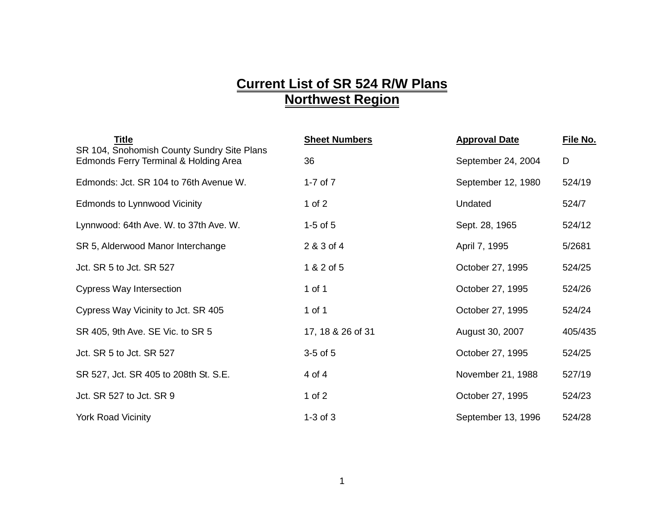## **Current List of SR 524 R/W Plans Northwest Region**

| Title                                                                               | <b>Sheet Numbers</b> | <b>Approval Date</b> | File No. |
|-------------------------------------------------------------------------------------|----------------------|----------------------|----------|
| SR 104, Snohomish County Sundry Site Plans<br>Edmonds Ferry Terminal & Holding Area | 36                   | September 24, 2004   | D        |
| Edmonds: Jct. SR 104 to 76th Avenue W.                                              | 1-7 of $7$           | September 12, 1980   | 524/19   |
| <b>Edmonds to Lynnwood Vicinity</b>                                                 | 1 of $2$             | Undated              | 524/7    |
| Lynnwood: 64th Ave. W. to 37th Ave. W.                                              | $1-5$ of $5$         | Sept. 28, 1965       | 524/12   |
| SR 5, Alderwood Manor Interchange                                                   | 2 & 3 of 4           | April 7, 1995        | 5/2681   |
| Jct. SR 5 to Jct. SR 527                                                            | 1 & 2 of 5           | October 27, 1995     | 524/25   |
| <b>Cypress Way Intersection</b>                                                     | 1 of 1               | October 27, 1995     | 524/26   |
| Cypress Way Vicinity to Jct. SR 405                                                 | 1 of 1               | October 27, 1995     | 524/24   |
| SR 405, 9th Ave. SE Vic. to SR 5                                                    | 17, 18 & 26 of 31    | August 30, 2007      | 405/435  |
| Jct. SR 5 to Jct. SR 527                                                            | $3-5$ of $5$         | October 27, 1995     | 524/25   |
| SR 527, Jct. SR 405 to 208th St. S.E.                                               | 4 of 4               | November 21, 1988    | 527/19   |
| Jct. SR 527 to Jct. SR 9                                                            | 1 of $2$             | October 27, 1995     | 524/23   |
| <b>York Road Vicinity</b>                                                           | $1-3$ of $3$         | September 13, 1996   | 524/28   |